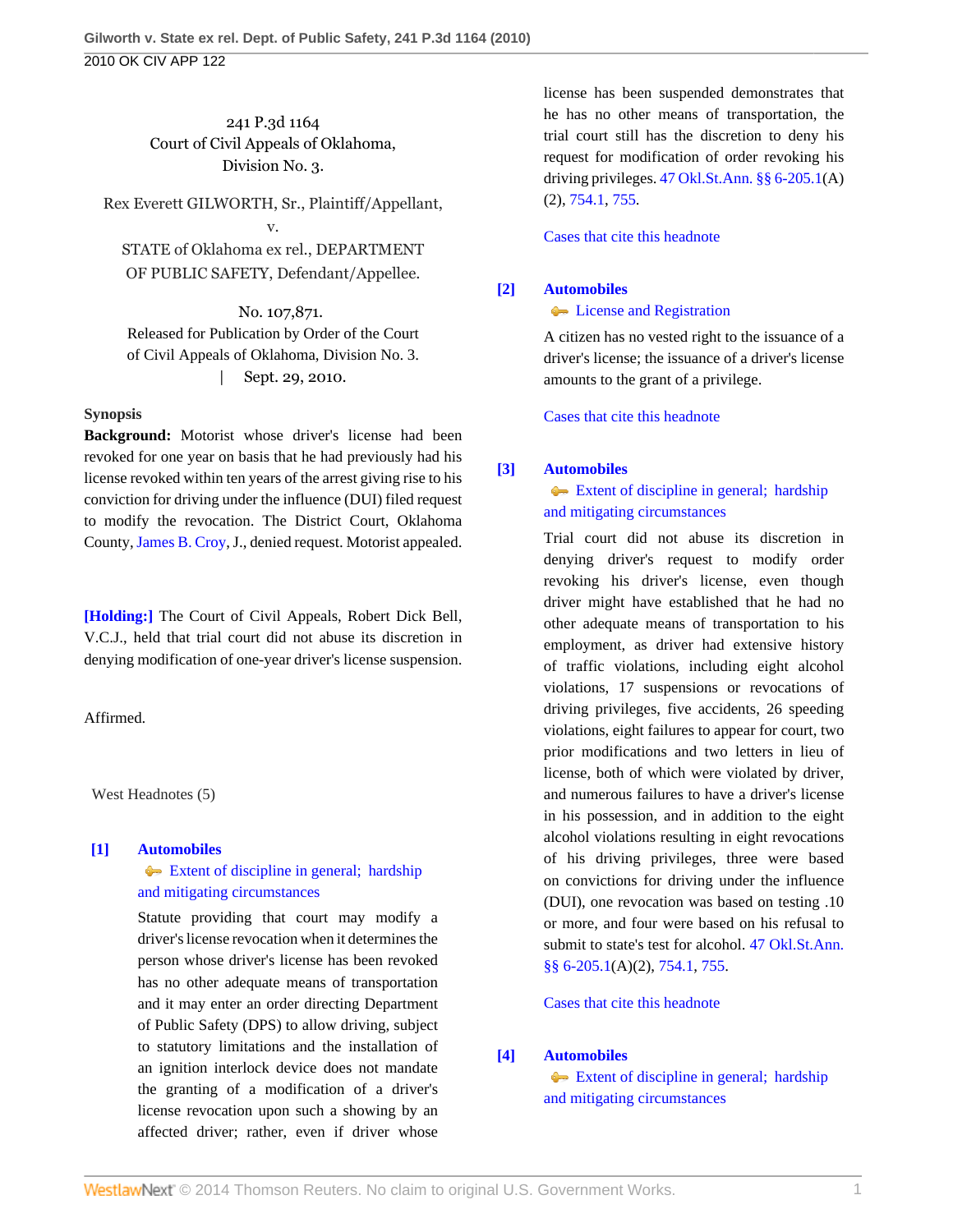241 P.3d 1164 Court of Civil Appeals of Oklahoma, Division No. 3.

Rex Everett GILWORTH, Sr., Plaintiff/Appellant, v.

STATE of Oklahoma ex rel., DEPARTMENT OF PUBLIC SAFETY, Defendant/Appellee.

No. 107,871. Released for Publication by Order of the Court of Civil Appeals of Oklahoma, Division No. 3. | Sept. 29, 2010.

## **Synopsis**

**Background:** Motorist whose driver's license had been revoked for one year on basis that he had previously had his license revoked within ten years of the arrest giving rise to his conviction for driving under the influence (DUI) filed request to modify the revocation. The District Court, Oklahoma County, [James B. Croy](http://www.westlaw.com/Link/Document/FullText?findType=h&pubNum=176284&cite=0251786701&originatingDoc=I9406c213e89b11df80558336ea473530&refType=RQ&originationContext=document&vr=3.0&rs=cblt1.0&transitionType=DocumentItem&contextData=(sc.Search)), J., denied request. Motorist appealed.

**[\[Holding:\]](#page-0-0)** The Court of Civil Appeals, Robert Dick Bell, V.C.J., held that trial court did not abuse its discretion in denying modification of one-year driver's license suspension.

Affirmed.

West Headnotes (5)

## <span id="page-0-1"></span>**[\[1\]](#page-1-0) [Automobiles](http://www.westlaw.com/Browse/Home/KeyNumber/48A/View.html?docGuid=I9406c213e89b11df80558336ea473530&originationContext=document&vr=3.0&rs=cblt1.0&transitionType=DocumentItem&contextData=(sc.Search))**

[Extent of discipline in general; hardship](http://www.westlaw.com/Browse/Home/KeyNumber/48Ak144.5/View.html?docGuid=I9406c213e89b11df80558336ea473530&originationContext=document&vr=3.0&rs=cblt1.0&transitionType=DocumentItem&contextData=(sc.Search)) [and mitigating circumstances](http://www.westlaw.com/Browse/Home/KeyNumber/48Ak144.5/View.html?docGuid=I9406c213e89b11df80558336ea473530&originationContext=document&vr=3.0&rs=cblt1.0&transitionType=DocumentItem&contextData=(sc.Search))

Statute providing that court may modify a driver's license revocation when it determines the person whose driver's license has been revoked has no other adequate means of transportation and it may enter an order directing Department of Public Safety (DPS) to allow driving, subject to statutory limitations and the installation of an ignition interlock device does not mandate the granting of a modification of a driver's license revocation upon such a showing by an affected driver; rather, even if driver whose

license has been suspended demonstrates that he has no other means of transportation, the trial court still has the discretion to deny his request for modification of order revoking his driving privileges. [47 Okl.St.Ann. §§ 6-205.1\(](http://www.westlaw.com/Link/Document/FullText?findType=L&pubNum=1000165&cite=OKSTT47S6-205.1&originatingDoc=I9406c213e89b11df80558336ea473530&refType=LQ&originationContext=document&vr=3.0&rs=cblt1.0&transitionType=DocumentItem&contextData=(sc.Search))A) (2), [754.1,](http://www.westlaw.com/Link/Document/FullText?findType=L&pubNum=1000165&cite=OKSTT47S754.1&originatingDoc=I9406c213e89b11df80558336ea473530&refType=LQ&originationContext=document&vr=3.0&rs=cblt1.0&transitionType=DocumentItem&contextData=(sc.Search)) [755.](http://www.westlaw.com/Link/Document/FullText?findType=L&pubNum=1000165&cite=OKSTT47S755&originatingDoc=I9406c213e89b11df80558336ea473530&refType=LQ&originationContext=document&vr=3.0&rs=cblt1.0&transitionType=DocumentItem&contextData=(sc.Search))

[Cases that cite this headnote](http://www.westlaw.com/Link/RelatedInformation/DocHeadnoteLink?docGuid=I9406c213e89b11df80558336ea473530&headnoteId=202361746100120110301080045&originationContext=document&vr=3.0&rs=cblt1.0&transitionType=CitingReferences&contextData=(sc.Search))

## <span id="page-0-2"></span>**[\[2\]](#page-2-0) [Automobiles](http://www.westlaw.com/Browse/Home/KeyNumber/48A/View.html?docGuid=I9406c213e89b11df80558336ea473530&originationContext=document&vr=3.0&rs=cblt1.0&transitionType=DocumentItem&contextData=(sc.Search))**

## **[License and Registration](http://www.westlaw.com/Browse/Home/KeyNumber/48Ak135/View.html?docGuid=I9406c213e89b11df80558336ea473530&originationContext=document&vr=3.0&rs=cblt1.0&transitionType=DocumentItem&contextData=(sc.Search))**

A citizen has no vested right to the issuance of a driver's license; the issuance of a driver's license amounts to the grant of a privilege.

[Cases that cite this headnote](http://www.westlaw.com/Link/RelatedInformation/DocHeadnoteLink?docGuid=I9406c213e89b11df80558336ea473530&headnoteId=202361746100220110301080045&originationContext=document&vr=3.0&rs=cblt1.0&transitionType=CitingReferences&contextData=(sc.Search))

# <span id="page-0-0"></span>**[\[3\]](#page-2-1) [Automobiles](http://www.westlaw.com/Browse/Home/KeyNumber/48A/View.html?docGuid=I9406c213e89b11df80558336ea473530&originationContext=document&vr=3.0&rs=cblt1.0&transitionType=DocumentItem&contextData=(sc.Search))**

# [Extent of discipline in general; hardship](http://www.westlaw.com/Browse/Home/KeyNumber/48Ak144.5/View.html?docGuid=I9406c213e89b11df80558336ea473530&originationContext=document&vr=3.0&rs=cblt1.0&transitionType=DocumentItem&contextData=(sc.Search)) [and mitigating circumstances](http://www.westlaw.com/Browse/Home/KeyNumber/48Ak144.5/View.html?docGuid=I9406c213e89b11df80558336ea473530&originationContext=document&vr=3.0&rs=cblt1.0&transitionType=DocumentItem&contextData=(sc.Search))

Trial court did not abuse its discretion in denying driver's request to modify order revoking his driver's license, even though driver might have established that he had no other adequate means of transportation to his employment, as driver had extensive history of traffic violations, including eight alcohol violations, 17 suspensions or revocations of driving privileges, five accidents, 26 speeding violations, eight failures to appear for court, two prior modifications and two letters in lieu of license, both of which were violated by driver, and numerous failures to have a driver's license in his possession, and in addition to the eight alcohol violations resulting in eight revocations of his driving privileges, three were based on convictions for driving under the influence (DUI), one revocation was based on testing .10 or more, and four were based on his refusal to submit to state's test for alcohol. [47 Okl.St.Ann.](http://www.westlaw.com/Link/Document/FullText?findType=L&pubNum=1000165&cite=OKSTT47S6-205.1&originatingDoc=I9406c213e89b11df80558336ea473530&refType=LQ&originationContext=document&vr=3.0&rs=cblt1.0&transitionType=DocumentItem&contextData=(sc.Search)) [§§ 6-205.1\(](http://www.westlaw.com/Link/Document/FullText?findType=L&pubNum=1000165&cite=OKSTT47S6-205.1&originatingDoc=I9406c213e89b11df80558336ea473530&refType=LQ&originationContext=document&vr=3.0&rs=cblt1.0&transitionType=DocumentItem&contextData=(sc.Search))A)(2), [754.1,](http://www.westlaw.com/Link/Document/FullText?findType=L&pubNum=1000165&cite=OKSTT47S754.1&originatingDoc=I9406c213e89b11df80558336ea473530&refType=LQ&originationContext=document&vr=3.0&rs=cblt1.0&transitionType=DocumentItem&contextData=(sc.Search)) [755.](http://www.westlaw.com/Link/Document/FullText?findType=L&pubNum=1000165&cite=OKSTT47S755&originatingDoc=I9406c213e89b11df80558336ea473530&refType=LQ&originationContext=document&vr=3.0&rs=cblt1.0&transitionType=DocumentItem&contextData=(sc.Search))

[Cases that cite this headnote](http://www.westlaw.com/Link/RelatedInformation/DocHeadnoteLink?docGuid=I9406c213e89b11df80558336ea473530&headnoteId=202361746100320110301080045&originationContext=document&vr=3.0&rs=cblt1.0&transitionType=CitingReferences&contextData=(sc.Search))

# <span id="page-0-3"></span>**[\[4\]](#page-2-2) [Automobiles](http://www.westlaw.com/Browse/Home/KeyNumber/48A/View.html?docGuid=I9406c213e89b11df80558336ea473530&originationContext=document&vr=3.0&rs=cblt1.0&transitionType=DocumentItem&contextData=(sc.Search))**

[Extent of discipline in general; hardship](http://www.westlaw.com/Browse/Home/KeyNumber/48Ak144.5/View.html?docGuid=I9406c213e89b11df80558336ea473530&originationContext=document&vr=3.0&rs=cblt1.0&transitionType=DocumentItem&contextData=(sc.Search)) [and mitigating circumstances](http://www.westlaw.com/Browse/Home/KeyNumber/48Ak144.5/View.html?docGuid=I9406c213e89b11df80558336ea473530&originationContext=document&vr=3.0&rs=cblt1.0&transitionType=DocumentItem&contextData=(sc.Search))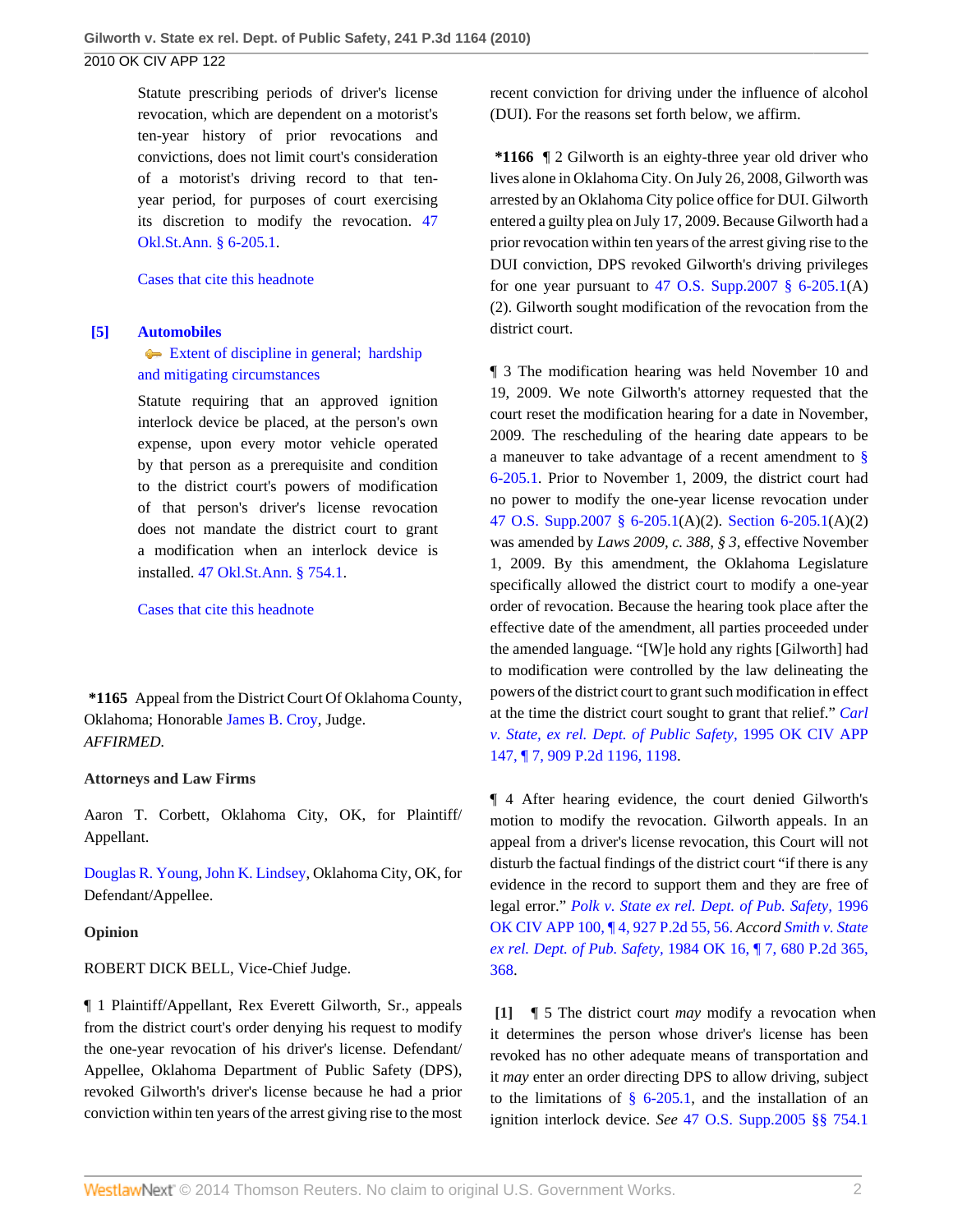Statute prescribing periods of driver's license revocation, which are dependent on a motorist's ten-year history of prior revocations and convictions, does not limit court's consideration of a motorist's driving record to that tenyear period, for purposes of court exercising its discretion to modify the revocation. [47](http://www.westlaw.com/Link/Document/FullText?findType=L&pubNum=1000165&cite=OKSTT47S6-205.1&originatingDoc=I9406c213e89b11df80558336ea473530&refType=LQ&originationContext=document&vr=3.0&rs=cblt1.0&transitionType=DocumentItem&contextData=(sc.Search)) [Okl.St.Ann. § 6-205.1](http://www.westlaw.com/Link/Document/FullText?findType=L&pubNum=1000165&cite=OKSTT47S6-205.1&originatingDoc=I9406c213e89b11df80558336ea473530&refType=LQ&originationContext=document&vr=3.0&rs=cblt1.0&transitionType=DocumentItem&contextData=(sc.Search)).

[Cases that cite this headnote](http://www.westlaw.com/Link/RelatedInformation/DocHeadnoteLink?docGuid=I9406c213e89b11df80558336ea473530&headnoteId=202361746100420110301080045&originationContext=document&vr=3.0&rs=cblt1.0&transitionType=CitingReferences&contextData=(sc.Search))

### <span id="page-1-1"></span>**[\[5\]](#page-2-3) [Automobiles](http://www.westlaw.com/Browse/Home/KeyNumber/48A/View.html?docGuid=I9406c213e89b11df80558336ea473530&originationContext=document&vr=3.0&rs=cblt1.0&transitionType=DocumentItem&contextData=(sc.Search))**

## [Extent of discipline in general; hardship](http://www.westlaw.com/Browse/Home/KeyNumber/48Ak144.5/View.html?docGuid=I9406c213e89b11df80558336ea473530&originationContext=document&vr=3.0&rs=cblt1.0&transitionType=DocumentItem&contextData=(sc.Search)) [and mitigating circumstances](http://www.westlaw.com/Browse/Home/KeyNumber/48Ak144.5/View.html?docGuid=I9406c213e89b11df80558336ea473530&originationContext=document&vr=3.0&rs=cblt1.0&transitionType=DocumentItem&contextData=(sc.Search))

Statute requiring that an approved ignition interlock device be placed, at the person's own expense, upon every motor vehicle operated by that person as a prerequisite and condition to the district court's powers of modification of that person's driver's license revocation does not mandate the district court to grant a modification when an interlock device is installed. [47 Okl.St.Ann. § 754.1](http://www.westlaw.com/Link/Document/FullText?findType=L&pubNum=1000165&cite=OKSTT47S754.1&originatingDoc=I9406c213e89b11df80558336ea473530&refType=LQ&originationContext=document&vr=3.0&rs=cblt1.0&transitionType=DocumentItem&contextData=(sc.Search)).

[Cases that cite this headnote](http://www.westlaw.com/Link/RelatedInformation/DocHeadnoteLink?docGuid=I9406c213e89b11df80558336ea473530&headnoteId=202361746100520110301080045&originationContext=document&vr=3.0&rs=cblt1.0&transitionType=CitingReferences&contextData=(sc.Search))

**\*1165** Appeal from the District Court Of Oklahoma County, Oklahoma; Honorable [James B. Croy](http://www.westlaw.com/Link/Document/FullText?findType=h&pubNum=176284&cite=0251786701&originatingDoc=I9406c213e89b11df80558336ea473530&refType=RQ&originationContext=document&vr=3.0&rs=cblt1.0&transitionType=DocumentItem&contextData=(sc.Search)), Judge. *AFFIRMED.*

## **Attorneys and Law Firms**

Aaron T. Corbett, Oklahoma City, OK, for Plaintiff/ Appellant.

[Douglas R. Young,](http://www.westlaw.com/Link/Document/FullText?findType=h&pubNum=176284&cite=0182156301&originatingDoc=I9406c213e89b11df80558336ea473530&refType=RQ&originationContext=document&vr=3.0&rs=cblt1.0&transitionType=DocumentItem&contextData=(sc.Search)) [John K. Lindsey,](http://www.westlaw.com/Link/Document/FullText?findType=h&pubNum=176284&cite=0190375301&originatingDoc=I9406c213e89b11df80558336ea473530&refType=RQ&originationContext=document&vr=3.0&rs=cblt1.0&transitionType=DocumentItem&contextData=(sc.Search)) Oklahoma City, OK, for Defendant/Appellee.

### **Opinion**

ROBERT DICK BELL, Vice-Chief Judge.

¶ 1 Plaintiff/Appellant, Rex Everett Gilworth, Sr., appeals from the district court's order denying his request to modify the one-year revocation of his driver's license. Defendant/ Appellee, Oklahoma Department of Public Safety (DPS), revoked Gilworth's driver's license because he had a prior conviction within ten years of the arrest giving rise to the most recent conviction for driving under the influence of alcohol (DUI). For the reasons set forth below, we affirm.

**\*1166** ¶ 2 Gilworth is an eighty-three year old driver who lives alone in Oklahoma City. On July 26, 2008, Gilworth was arrested by an Oklahoma City police office for DUI. Gilworth entered a guilty plea on July 17, 2009. Because Gilworth had a prior revocation within ten years of the arrest giving rise to the DUI conviction, DPS revoked Gilworth's driving privileges for one year pursuant to  $47$  O.S. Supp.2007 § 6-205.1(A) (2). Gilworth sought modification of the revocation from the district court.

¶ 3 The modification hearing was held November 10 and 19, 2009. We note Gilworth's attorney requested that the court reset the modification hearing for a date in November, 2009. The rescheduling of the hearing date appears to be a maneuver to take advantage of a recent amendment to [§](http://www.westlaw.com/Link/Document/FullText?findType=L&pubNum=1000165&cite=OKSTT47S6-205.1&originatingDoc=I9406c213e89b11df80558336ea473530&refType=LQ&originationContext=document&vr=3.0&rs=cblt1.0&transitionType=DocumentItem&contextData=(sc.Search)) [6-205.1.](http://www.westlaw.com/Link/Document/FullText?findType=L&pubNum=1000165&cite=OKSTT47S6-205.1&originatingDoc=I9406c213e89b11df80558336ea473530&refType=LQ&originationContext=document&vr=3.0&rs=cblt1.0&transitionType=DocumentItem&contextData=(sc.Search)) Prior to November 1, 2009, the district court had no power to modify the one-year license revocation under [47 O.S. Supp.2007 § 6-205.1](http://www.westlaw.com/Link/Document/FullText?findType=L&pubNum=1000165&cite=OKSTT47S6-205.1&originatingDoc=I9406c213e89b11df80558336ea473530&refType=LQ&originationContext=document&vr=3.0&rs=cblt1.0&transitionType=DocumentItem&contextData=(sc.Search))(A)(2). [Section 6-205.1](http://www.westlaw.com/Link/Document/FullText?findType=L&pubNum=1000165&cite=OKSTT47S6-205.1&originatingDoc=I9406c213e89b11df80558336ea473530&refType=LQ&originationContext=document&vr=3.0&rs=cblt1.0&transitionType=DocumentItem&contextData=(sc.Search))(A)(2) was amended by *Laws 2009, c. 388, § 3,* effective November 1, 2009. By this amendment, the Oklahoma Legislature specifically allowed the district court to modify a one-year order of revocation. Because the hearing took place after the effective date of the amendment, all parties proceeded under the amended language. "[W]e hold any rights [Gilworth] had to modification were controlled by the law delineating the powers of the district court to grant such modification in effect at the time the district court sought to grant that relief." *[Carl](http://www.westlaw.com/Link/Document/FullText?findType=Y&serNum=1996027906&pubNum=661&fi=co_pp_sp_661_1198&originationContext=document&vr=3.0&rs=cblt1.0&transitionType=DocumentItem&contextData=(sc.Search)#co_pp_sp_661_1198) [v. State, ex rel. Dept. of Public Safety,](http://www.westlaw.com/Link/Document/FullText?findType=Y&serNum=1996027906&pubNum=661&fi=co_pp_sp_661_1198&originationContext=document&vr=3.0&rs=cblt1.0&transitionType=DocumentItem&contextData=(sc.Search)#co_pp_sp_661_1198)* 1995 OK CIV APP [147, ¶ 7, 909 P.2d 1196, 1198](http://www.westlaw.com/Link/Document/FullText?findType=Y&serNum=1996027906&pubNum=661&fi=co_pp_sp_661_1198&originationContext=document&vr=3.0&rs=cblt1.0&transitionType=DocumentItem&contextData=(sc.Search)#co_pp_sp_661_1198).

¶ 4 After hearing evidence, the court denied Gilworth's motion to modify the revocation. Gilworth appeals. In an appeal from a driver's license revocation, this Court will not disturb the factual findings of the district court "if there is any evidence in the record to support them and they are free of legal error." *[Polk v. State ex rel. Dept. of Pub. Safety,](http://www.westlaw.com/Link/Document/FullText?findType=Y&serNum=1996247143&pubNum=661&fi=co_pp_sp_661_56&originationContext=document&vr=3.0&rs=cblt1.0&transitionType=DocumentItem&contextData=(sc.Search)#co_pp_sp_661_56)* 1996 [OK CIV APP 100, ¶ 4, 927 P.2d 55, 56.](http://www.westlaw.com/Link/Document/FullText?findType=Y&serNum=1996247143&pubNum=661&fi=co_pp_sp_661_56&originationContext=document&vr=3.0&rs=cblt1.0&transitionType=DocumentItem&contextData=(sc.Search)#co_pp_sp_661_56) *Accord [Smith v. State](http://www.westlaw.com/Link/Document/FullText?findType=Y&serNum=1984121354&pubNum=661&fi=co_pp_sp_661_368&originationContext=document&vr=3.0&rs=cblt1.0&transitionType=DocumentItem&contextData=(sc.Search)#co_pp_sp_661_368) ex rel. Dept. of Pub. Safety,* [1984 OK 16, ¶ 7, 680 P.2d 365,](http://www.westlaw.com/Link/Document/FullText?findType=Y&serNum=1984121354&pubNum=661&fi=co_pp_sp_661_368&originationContext=document&vr=3.0&rs=cblt1.0&transitionType=DocumentItem&contextData=(sc.Search)#co_pp_sp_661_368) [368](http://www.westlaw.com/Link/Document/FullText?findType=Y&serNum=1984121354&pubNum=661&fi=co_pp_sp_661_368&originationContext=document&vr=3.0&rs=cblt1.0&transitionType=DocumentItem&contextData=(sc.Search)#co_pp_sp_661_368).

<span id="page-1-0"></span>**[\[1\]](#page-0-1)** ¶ 5 The district court *may* modify a revocation when it determines the person whose driver's license has been revoked has no other adequate means of transportation and it *may* enter an order directing DPS to allow driving, subject to the limitations of  $\S$  6-205.1, and the installation of an ignition interlock device. *See* [47 O.S. Supp.2005 §§ 754.1](http://www.westlaw.com/Link/Document/FullText?findType=L&pubNum=1000165&cite=OKSTT47S754.1&originatingDoc=I9406c213e89b11df80558336ea473530&refType=LQ&originationContext=document&vr=3.0&rs=cblt1.0&transitionType=DocumentItem&contextData=(sc.Search))